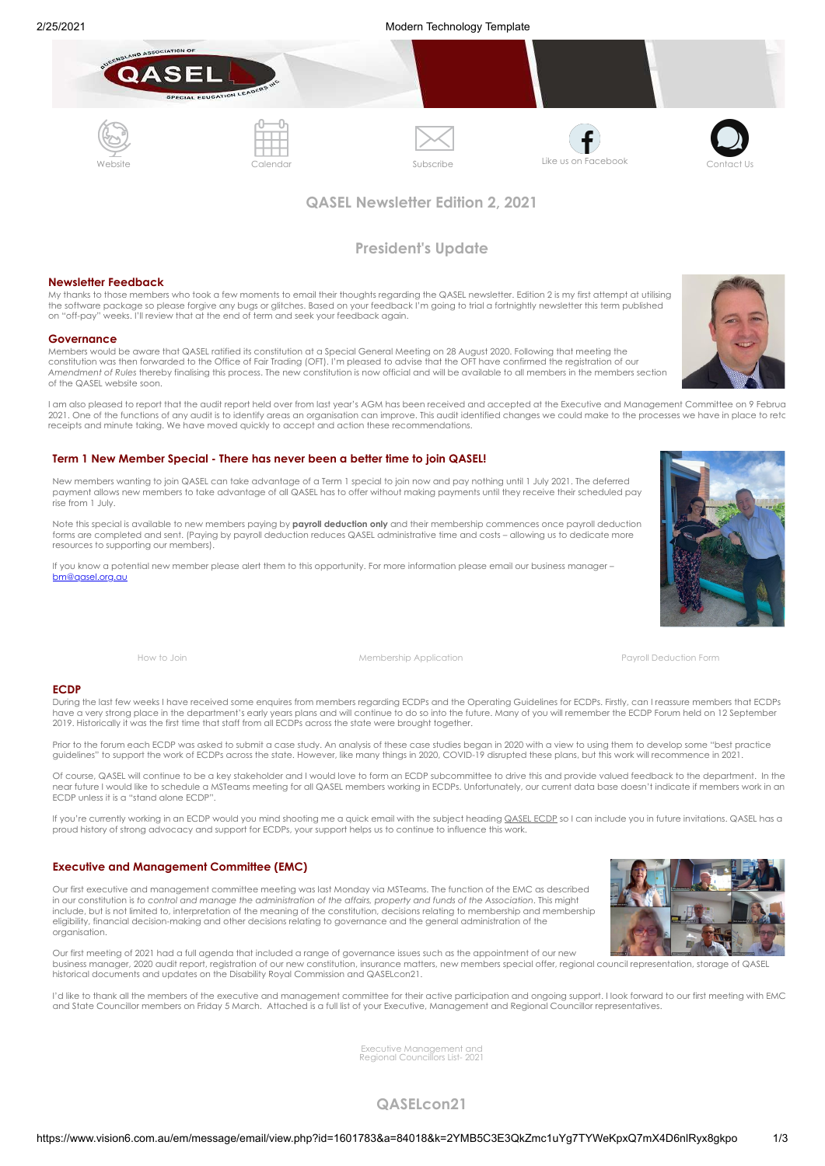





# **QASEL Newsletter Edition 2, 2021**

# **President's Update**

## **Newsletter Feedback**

My thanks to those members who took a few moments to email their thoughts regarding the QASEL newsletter. Edition 2 is my first attempt at utilising the software package so please forgive any bugs or glitches. Based on your feedback I'm going to trial a fortnightly newsletter this term published on "off-pay" weeks. I'll review that at the end of term and seek your feedback again.

### **Governance**

Members would be aware that QASEL ratified its constitution at a Special General Meeting on 28 August 2020. Following that meeting the<br>constitution was then forwarded to the Office of Fair Trading (OFT). I'm pleased to adv *Amendment of Rules* thereby finalising this process. The new constitution is now official and will be available to all members in the members section of the QASEL website soon.

I am also pleased to report that the audit report held over from last year's AGM has been received and accepted at the Executive and Management Committee on 9 Februa 2021. One of the functions of any audit is to identify areas an organisation can improve. This audit identified changes we could make to the processes we have in place to reta receipts and minute taking. We have moved quickly to accept and action these recommendations.

## **Term 1 New Member Special - There has never been a better time to join QASEL!**

New members wanting to join QASEL can take advantage of a Term 1 special to join now and pay nothing until 1 July 2021. The deferred payment allows new members to take advantage of all QASEL has to offer without making payments until they receive their scheduled pay rise from 1 July.

Note this special is available to new members paying by **payroll deduction only** and their membership commences once payroll deduction forms are completed and sent. (Paying by payroll deduction reduces QASEL administrative time and costs – allowing us to dedicate more resources to supporting our members).

If you know a potential new member please alert them to this opportunity. For more information please email our business manager – [bm@qasel.org.au](mailto:bm@qasel.org.au)



[How to Join](https://cdn-au.mailsnd.com/81048/Zto33qVXgErxwTMDD2nZ3-mp3e3DygZr-a6p2k8N_sI/3389942.pdf) [Membership Application](https://cdn-au.mailsnd.com/81048/sbx2WSJuHqLFQpfiltQ4AiUF8oOU37YPGUIc5wZkvJI/3389115.docx) [Payroll Deduction Form](https://cdn-au.mailsnd.com/81048/odr5PdDlDY-RsiJMauuk_GcsQSr8KTuiHFC9lSHNgTE/3389116.pdf)

## **ECDP**

During the last few weeks I have received some enquires from members regarding ECDPs and the Operating Guidelines for ECDPs. Firstly, can I reassure members that ECDPs have a very strong place in the department's early years plans and will continue to do so into the future. Many of you will remember the ECDP Forum held on 12 September 2019. Historically it was the first time that staff from all ECDPs across the state were brought together.

Prior to the forum each ECDP was asked to submit a case study. An analysis of these case studies began in 2020 with a view to using them to develop some "best practice guidelines" to support the work of ECDPs across the state. However, like many things in 2020, COVID-19 disrupted these plans, but this work will recommence in 2021.

Of course, QASEL will continue to be a key stakeholder and I would love to form an ECDP subcommittee to drive this and provide valued feedback to the department. In the near future I would like to schedule a MSTeams meeting for all QASEL members working in ECDPs. Unfortunately, our current data base doesn't indicate if members work in an ECDP unless it is a "stand alone ECDP"

If you're currently working in an ECDP would you mind shooting me a quick email with the subject heading **QASEL ECDP** so I can include you in future invitations. QASEL has a proud history of strong advocacy and support for ECDPs, your support helps us to continue to influence this work.

## **Executive and Management Committee (EMC)**

Our first executive and management committee meeting was last Monday via MSTeams. The function of the EMC as described in our constitution is to control and manage the administration of the affairs, property and funds of the Association. This might<br>include, but is not limited to, interpretation of the meaning of the constitution, decisions eligibility, financial decision-making and other decisions relating to governance and the general administration of the organisation.

Our first meeting of 2021 had a full agenda that included a range of governance issues such as the appointment of our new business manager, 2020 audit report, registration of our new constitution, insurance matters, new members special offer, regional council representation, storage of QASEL historical documents and updates on the Disability Royal Commission and QASELcon21.

I'd like to thank all the members of the executive and management committee for their active participation and ongoing support. I look forward to our first meeting with EMC and State Councillor members on Friday 5 March. Attached is a full list of your Executive, Management and Regional Councillor representatives.

Executive Management and [Regional Councillors List- 2021](https://cdn-au.mailsnd.com/81048/lfBX6VqUD9HCw8U_BtwTlmJRN81KKmL5J84kcFOVy4w/3389130.doc)

## **QASELcon21**

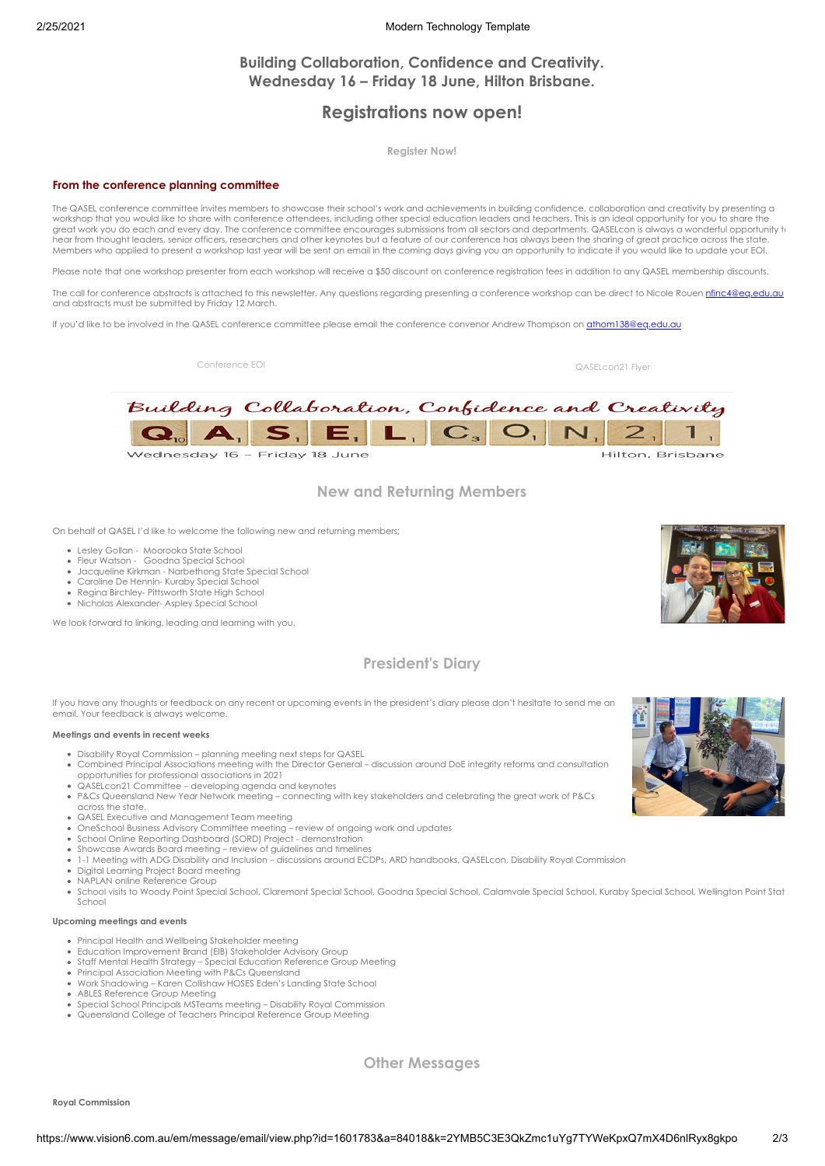## 2/25/2021 Modern Technology Template

# **Building Collaboration, Confidence and Creativity. Wednesday 16 – Friday 18 June, Hilton Brisbane.**

# **Registrations now open!**

**[Register Now!](https://web.cvent.com/event/b7f5295b-b05e-4eef-83a1-d60351b612b4/summary)**

## **From the conference planning committee**

The QASEL conference committee invites members to showcase their school's work and achievements in building confidence, collaboration and creativity by presenting a workshop that you would like to share with conference attendees, including other special education leaders and teachers. This is an ideal opportunity for you to share the<br>great work you do each and every day. The conferenc hear from thought leaders, senior officers, researchers and other keynotes but a feature of our conference has always been the sharing of great practice across the state. Members who applied to present a workshop last year will be sent an email in the coming days giving you an opportunity to indicate if you would like to update your EOI.

Please note that one workshop presenter from each workshop will receive a \$50 discount on conference registration fees in addition to any QASEL membership discounts.

The call for conference abstracts is attached to this newsletter. Any questions regarding presenting a conference workshop can be direct to Nicole Rouen [nfinc4@eq.edu.au](mailto:nfinc4@eq.edu.au) and abstracts must be submitted by Friday 12 March.

If you'd like to be involved in the QASEL conference committee please email the conference convenor Andrew Thompson on [athom138@eq.edu.au](mailto:athom138@eq.edu.au)

[Conference EOI](https://cdn-au.mailsnd.com/81048/2xHENsadL8ypabcPfr8YYF-SzXMVMh7Kuo0YU3Tu6r8/3389171.doc) [QASELcon21 Flyer](https://cdn-au.mailsnd.com/81048/YHy4BNxHyp00K86BXpl7SF5a1un79J68B6KQmZZkDUc/3390406.pdf)



# **New and Returning Members**

On behalf of QASEL I'd like to welcome the following new and returning members;

- Lesley Gollan Moorooka State School
- Fleur Watson Goodna Special School
- Jacqueline Kirkman Narbethong State Special School
- Caroline De Hennin- Kuraby Special School Regina Birchley- Pittsworth State High School
- Nicholas Alexander- Aspley Special School

We look forward to linking, leading and learning with you.

# **President's Diary**

If you have any thoughts or feedback on any recent or upcoming events in the president's diary please don't hesitate to send me an email. Your feedback is always welcome.

## **Meetings and events in recent weeks**

- Disability Royal Commission planning meeting next steps for QASEL
- Combined Principal Associations meeting with the Director General discussion around DoE integrity reforms and consultation opportunities for professional associations in 2021
- QASELcon21 Committee developing agenda and keynotes
- P&Cs Queensland New Year Network meeting connecting with key stakeholders and celebrating the great work of P&Cs across the state.
- 
- QASEL Executive and Management Team meeting OneSchool Business Advisory Committee meeting review of ongoing work and updates
- School Online Reporting Dashboard (SORD) Project demonstration
- 
- Showcase Awards Board meeting review of guidelines and timelines<br>1-1 Meeting with ADG Disability and Inclusion discussions around ECDPs, ARD handbooks, QASELcon, Disability Royal Commission
- Digital Learning Project Board meeting
- NAPLAN online Reference Group
- School visits to Woody Point Special School, Claremont Special School, Goodna Special School, Calamvale Special School, Kuraby Special School, Wellington Point Stat School

## **Upcoming meetings and events**

- Principal Health and Wellbeing Stakeholder meeting
- Education Improvement Brand (EIB) Stakeholder Advisory Group Staff Mental Health Strategy – Special Education Reference Group Meeting
- Principal Association Meeting with P&Cs Queensland
- Work Shadowing Karen Collishaw HOSES Eden's Landing State School
- ABLES Reference Group Meeting
- Special School Principals MSTeams meeting Disability Royal Commission
- Queensland College of Teachers Principal Reference Group Meeting

**Other Messages**

**Royal Commission**